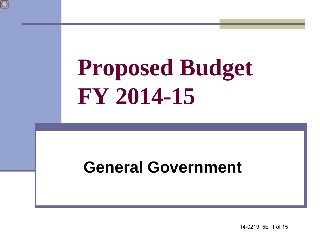

#### **General Government**

14-0219 5E 1 of 15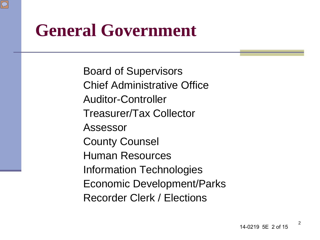#### **General Government**

Board of Supervisors Chief Administrative Office Auditor-Controller Treasurer/Tax Collector Assessor County Counsel Human Resources Information Technologies Economic Development/Parks Recorder Clerk / Elections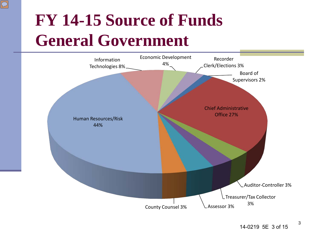### **FY 14-15 Source of Funds General Government**

 $\overline{C}$ 

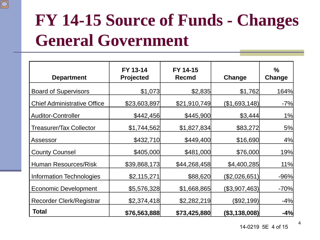## **FY 14-15 Source of Funds - Changes General Government**

 $\boxed{\bigcirc}$ 

| <b>Department</b>                  | FY 13-14<br><b>Projected</b> | FY 14-15<br><b>Recmd</b> | Change        | $\frac{9}{6}$<br>Change |
|------------------------------------|------------------------------|--------------------------|---------------|-------------------------|
| <b>Board of Supervisors</b>        | \$1,073                      | \$2,835                  | \$1,762       | 164%                    |
| <b>Chief Administrative Office</b> | \$23,603,897                 | \$21,910,749             | (\$1,693,148) | $-7%$                   |
| <b>Auditor-Controller</b>          | \$442,456                    | \$445,900                | \$3,444       | 1%                      |
| <b>Treasurer/Tax Collector</b>     | \$1,744,562                  | \$1,827,834              | \$83,272      | 5%                      |
| Assessor                           | \$432,710                    | \$449,400                | \$16,690      | 4%                      |
| <b>County Counsel</b>              | \$405,000                    | \$481,000                | \$76,000      | 19%                     |
| <b>Human Resources/Risk</b>        | \$39,868,173                 | \$44,268,458             | \$4,400,285   | 11%                     |
| <b>Information Technologies</b>    | \$2,115,271                  | \$88,620                 | (\$2,026,651) | $-96%$                  |
| <b>Economic Development</b>        | \$5,576,328                  | \$1,668,865              | (\$3,907,463) | $-70%$                  |
| Recorder Clerk/Registrar           | \$2,374,418                  | \$2,282,219              | (\$92,199)    | $-4%$                   |
| Total                              | \$76,563,888                 | \$73,425,880             | (\$3,138,008) | $-4%$                   |

14-0219 5E 4 of 15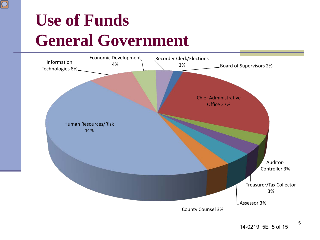### **Use of Funds General Government**

 $\boxed{\bigcirc}$ 

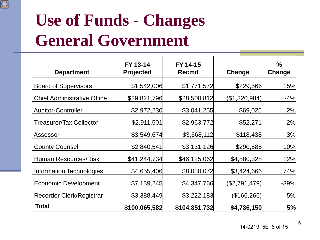### **Use of Funds - Changes General Government**

 $\boxed{\bigcirc}$ 

| <b>Department</b>                  | FY 13-14<br>Projected | FY 14-15<br><b>Recmd</b> | Change        | $\%$<br>Change |
|------------------------------------|-----------------------|--------------------------|---------------|----------------|
| <b>Board of Supervisors</b>        | \$1,542,006           | \$1,771,572              | \$229,566     | 15%            |
| <b>Chief Administrative Office</b> | \$29,821,796          | \$28,500,812             | (\$1,320,984) | $-4%$          |
| <b>Auditor-Controller</b>          | \$2,972,230           | \$3,041,255              | \$69,025      | 2%             |
| Treasurer/Tax Collector            | \$2,911,501           | \$2,963,772              | \$52,271      | 2%             |
| Assessor                           | \$3,549,674           | \$3,668,112              | \$118,438     | 3%             |
| <b>County Counsel</b>              | \$2,840,541           | \$3,131,126              | \$290,585     | 10%            |
| <b>Human Resources/Risk</b>        | \$41,244,734          | \$46,125,062             | \$4,880,328   | 12%            |
| <b>Information Technologies</b>    | \$4,655,406           | \$8,080,072              | \$3,424,666   | 74%            |
| <b>Economic Development</b>        | \$7,139,245           | \$4,347,766              | (\$2,791,479) | $-39%$         |
| Recorder Clerk/Registrar           | \$3,388,449           | \$3,222,183              | (\$166,266)   | $-5%$          |
| <b>Total</b>                       | \$100,065,582         | \$104,851,732            | \$4,786,150   | 5%             |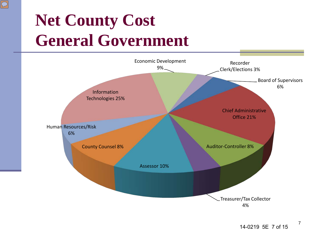## **Net County Cost General Government**

 $\boxed{\bigcirc}$ 

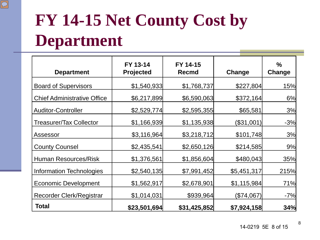# **FY 14-15 Net County Cost by Department**

 $\boxed{\bigcirc}$ 

| <b>Department</b>                  | FY 13-14<br><b>Projected</b> | FY 14-15<br><b>Recmd</b> | Change       | $\frac{9}{6}$<br>Change |
|------------------------------------|------------------------------|--------------------------|--------------|-------------------------|
| <b>Board of Supervisors</b>        | \$1,540,933                  | \$1,768,737              | \$227,804    | 15%                     |
| <b>Chief Administrative Office</b> | \$6,217,899                  | \$6,590,063              | \$372,164    | 6%                      |
| <b>Auditor-Controller</b>          | \$2,529,774                  | \$2,595,355              | \$65,581     | 3%                      |
| <b>Treasurer/Tax Collector</b>     | \$1,166,939                  | \$1,135,938              | $(\$31,001)$ | $-3%$                   |
| Assessor                           | \$3,116,964                  | \$3,218,712              | \$101,748    | 3%                      |
| <b>County Counsel</b>              | \$2,435,541                  | \$2,650,126              | \$214,585    | 9%                      |
| <b>Human Resources/Risk</b>        | \$1,376,561                  | \$1,856,604              | \$480,043    | 35%                     |
| Information Technologies           | \$2,540,135                  | \$7,991,452              | \$5,451,317  | 215%                    |
| <b>Economic Development</b>        | \$1,562,917                  | \$2,678,901              | \$1,115,984  | 71%                     |
| Recorder Clerk/Registrar           | \$1,014,031                  | \$939,964                | (\$74,067)   | $-7%$                   |
| Total                              | \$23,501,694                 | \$31,425,852             | \$7,924,158  | 34%                     |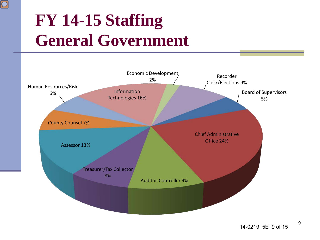## **FY 14-15 Staffing General Government**

 $\overline{\bigcirc}$ 

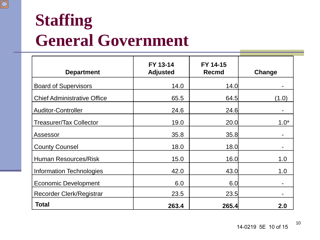### **Staffing General Government**

 $\boxed{\bigcirc}$ 

| <b>Department</b>                  | FY 13-14<br><b>Adjusted</b> | FY 14-15<br><b>Recmd</b> | Change |
|------------------------------------|-----------------------------|--------------------------|--------|
| <b>Board of Supervisors</b>        | 14.0                        | 14.0                     |        |
| <b>Chief Administrative Office</b> | 65.5                        | 64.5                     | (1.0)  |
| <b>Auditor-Controller</b>          | 24.6                        | 24.6                     |        |
| <b>Treasurer/Tax Collector</b>     | 19.0                        | 20.0                     | $1.0*$ |
| Assessor                           | 35.8                        | 35.8                     |        |
| <b>County Counsel</b>              | 18.0                        | 18.0                     |        |
| <b>Human Resources/Risk</b>        | 15.0                        | 16.0                     | 1.0    |
| <b>Information Technologies</b>    | 42.0                        | 43.0                     | 1.0    |
| <b>Economic Development</b>        | 6.0                         | 6.0                      |        |
| Recorder Clerk/Registrar           | 23.5                        | 23.5                     |        |
| <b>Total</b>                       | 263.4                       | 265.4                    | 2.0    |

14-0219 5E 10 of 15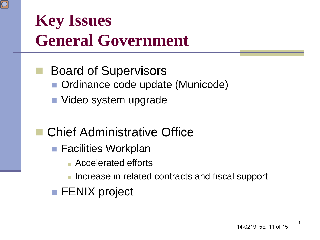

- Board of Supervisors ■ Ordinance code update (Municode)
	- Video system upgrade
- Chief Administrative Office
	- Facilities Workplan
		- Accelerated efforts
		- **Increase in related contracts and fiscal support**
	- **FENIX** project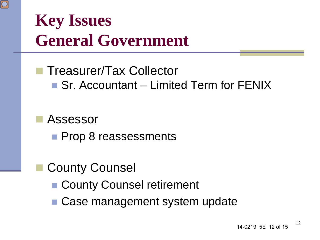

#### **Treasurer/Tax Collector** ■ Sr. Accountant – Limited Term for FENIX

#### Assessor

**Prop 8 reassessments** 

#### County Counsel

- County Counsel retirement
- Case management system update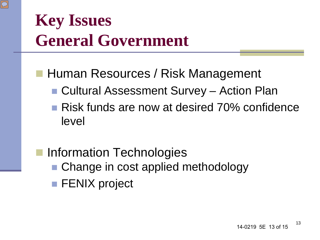

- Human Resources / Risk Management
	- Cultural Assessment Survey Action Plan
	- Risk funds are now at desired 70% confidence level
- Information Technologies ■ Change in cost applied methodology **FENIX** project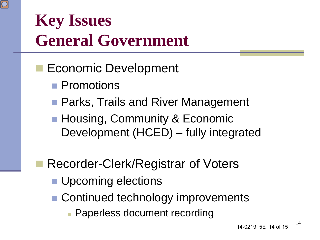

#### **Economic Development**

- **Promotions**
- Parks, Trails and River Management
- Housing, Community & Economic Development (HCED) – fully integrated

#### Recorder-Clerk/Registrar of Voters

- **Upcoming elections**
- Continued technology improvements
	- Paperless document recording